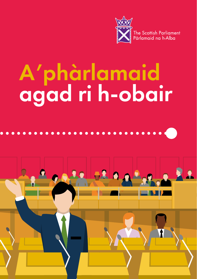

# A'phàrlamaid agad ri h-obair



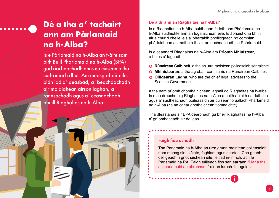# **Dè a tha a' tachairt ann am Pàrlamaid na h-Alba?**

Is e Pàrlamaid na h-Alba an t-àite sam bith Buill Phàrlamaid na h-Alba (BPA) gad riochdachadh anns na cùisean a tha cudromach dhut. Am measg obair eile, bidh iad a' deasbad, a' beachdachadh air molaidhean airson laghan, a' rannsachadh agus a' ceasnachadh bhuill Riaghaltas na h-Alba.

#### **Dè a th' ann an Riaghaltas na h-Alba?**

Is e Riaghaltas na h-Alba buidheann fa-leth bho Phàrlamaid na h-Alba suidhichte ann an togalaichean eile. Is àbhaist dha bhith air a chur ri chèile leis a' phàrtaidh phoilitigeach no còmhlan phàrtaidhean as motha a th' air an riochdachadh sa Phàrlamaid.

Is e ceannard Riaghaltas na h-Alba am **Prìomh Mhinistear**, a bhios a' taghadh:

- **O** Rùnairean Caibineit, a tha an urra raointean poileasaidh sònraichte
- | **Mhinistearan**, a tha ag obair còmhla ris na Rùnairean Caibineit
- **O** Oifigearan Lagha, who are the chief legal advisers to the Scottish Government

a tha nam prìomh chomhairlichean laghail do Riaghaltas na h-Alba. Is e an dreuchd aig Riaghaltas na h-Alba a bhith a' ruith na dùthcha agus a' suidheachadh poileasaidh air cùisean fo uallach Phàrlamaid na h-Alba (ris an canar gnothaichean tiomnaichte).

Tha dleastanas air BPA dearbhadh gu bheil Riaghaltas na h-Alba a' gnìomhachadh air do leas.

## Faigh fiosrachadh

Tha Pàrlamaid na h-Alba an urra grunn raointean poileasaidh, nam measg sin, slàinte, foghlam agus ceartas. Cha ghabh dèiligeadh ri gnothaichean eile, leithid in-imrich, ach le Pàrlamaid na RA. Faigh tuilleadh fios san earrann "Mar a tha a' phàrlamaid ag obrachadh" air an làrach-lìn againn.

i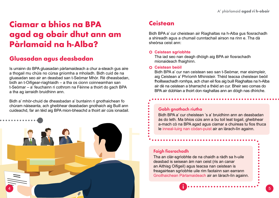## **Ciamar a bhios na BPA agad ag obair dhut ann am Pàrlamaid na h-Alba?**

## **Gluasadan agus deasbadan**

Is urrainn do BPA gluasadan pàrlamaideach a chur a-steach gus aire a thogail mu chùis no cùrsa gnìomha a mholadh. Bidh cuid de na gluasadan seo air an deasbad san t-Seòmar Mhòr. Rè dheasbadan, bidh an t-Oifigear-riaghlaidh – a tha os cionn coinneamhan san t-Seòmar – a' feuchainn ri cothrom na Fèinne a thoirt do gach BPA a tha ag iarraidh bruidhinn ann.

Bidh a' mhòr-chuid de dheasbadan a' buntainn ri gnothaichean fo chùram nàiseanta, ach gheibhear deasbadan gnothaich aig Buill ann cuideachd, far an tèid aig BPA mion-bheachd a thoirt air cùis ionadail.



## **Ceistean**

Bidh BPA a' cur cheistean air Riaghaltas na h-Alba gus fiosrachadh a shireadh agus a chumail cunntachail airson na rinn e. Tha dà sheòrsa ceist ann:

#### | **Ceistean sgrìobhte**

Tha iad seo nan deagh dhòigh aig BPA air fiosrachadh mionaideach fhaighinn.

#### | **Ceistean beòil**

Bidh BPA a' cur nan ceistean seo san t-Seòmar, mar eisimpleir, aig Ceistean a' Phrìomh Mhinisteir. Thèid teacsa cheistean beòil fhoillseachadh romhpa, ach chan eil fios aig buill Riaghaltas na h-Alba air dè na ceistean a bharrachd a thèid an cur. Bheir seo comas do BPA air dùbhlan a thoirt don riaghaltas ann an dòigh nas dhìriche.

## Gabh gnothach riutha

i

Bidh BPA a' cur cheistean 's a' bruidhinn ann an deasbadan às do leth. Ma bhios cùis ann a bu toil leat togail, gheibhear a-mach cò na BPA agad agus ciamar a chuireas tu fios thuca le inneal-luirg nan còdan-puist air an làrach-lìn againn.

## Faigh fiosrachadh

Tha an clàr-sgrìobhte de na chaidh a ràdh sa h-uile deasbad is seisean àm nan ceist (ris an canar an Aithisg Oifigeil) agus teacsa nan ceistean is freagairtean sgrìobhte uile rim faotainn san earrann Gnothaichean Pàrlamaideach air an làrach-lìn againn.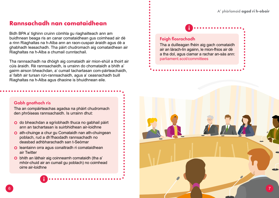## **Rannsachadh nan comataidhean**

Bidh BPA a' tighinn cruinn còmhla gu riaghailteach ann am buidhnean beaga ris an canar comataidhean gus coimhead air dè a rinn Riaghaltas na h-Alba ann an raon-cuspair àraidh agus dè a ghabhadh leasachadh. Tha pàirt chudromach aig comataidhean air Riaghaltas na h-Alba a chumail cunntachail.

Tha rannsachadh na dhòigh aig comataidh air mion-shùil a thoirt air cùis àraidh. Rè rannsachaidh, is urrainn do chomataidh a bhith a' gairm airson bheachdan, a' cumail tachartasan com-pàirteachaidh, a' falbh air tursan rùn-rannsachaidh, agus a' ceasnachadh buill Riaghaltas na h-Alba agus dhaoine is bhuidhnean eile.

## Gabh gnothach ris

Tha an compàirteachas agadsa na phàirt chudromach den phròiseas rannsachaidh. Is urrainn dhut:

- | do bheachdan a sgrìobhadh thuca no gabhail pàirt ann an tachartasan is suirbhidhean air-loidhne
- **O** ath-chuinge a chur gu Comataidh nan ath-chuingean poblach, rud a dh'fhaodadh rannsachadh no deasbad adhbharachadh san t-Seòmar
- **O** leantainn orra agus conaltradh ri comataidhean air Twitter
- | bhith an làthair aig coinneamh comataidh (tha a' mhòr-chuid air an cumail gu poblach) no coimhead oirre air-loidhne

i

## Faigh fiosrachadh Tha a duilleagan fhèin aig gach comataidh air an làrach-lìn againn, le mion-fhios air dè a tha dol, agus ciamar a rachar an-sàs ann: [parliament.scot/committees](http://www.parliament.scot/parliamentarybusiness/committees.aspx) i

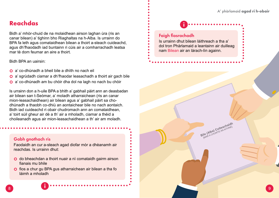## **Reachdas**

Bidh a' mhòr-chuid de na molaidhean airson laghan ùra (ris an canar bilean) a' tighinn bho Riaghaltas na h-Alba. Is urrainn do BPA fa leth agus comataidhean bilean a thoirt a-steach cuideachd, agus dh'fhaodadh iad buntainn ri cùis air a comharrachadh leatsa mar tè dom feumar an aire a thoirt.

Bidh BPA an uairsin:

- | a' co-dhùnadh a bheil bile a dhìth no nach eil
- **O** a' sgrùdadh ciamar a dh'fhaodar leasachadh a thoirt air gach bile
- | a' co-dhùnadh am bu chòir dha dol na lagh no nach bu chòir

Is urrainn don a h-uile BPA a bhith a' gabhail pàirt ann an deasbadan air bilean san t-Seòmar, a' moladh atharraichean (ris an canar mion-leasachaidhean) air bilean agus a' gabhail pàirt sa chodhùnadh a thaobh co-dhiù an aontaichear bile no nach aontaich. Bidh iad cuideachd ri obair chudromach ann an comataidhean, a' toirt sùil gheur air dè a th' air a mholadh, ciamar a thèid a choileanadh agus air mion-leasachaidhean a th' air am moladh.

## Gabh gnothach ris

i

Faodaidh an cur a-steach agad diofar mòr a dhèanamh air reachdas. Is urrainn dhut:

- | do bheachdan a thoirt nuair a nì comataidh gairm airson fianais mu bhile
- | fios a chur gu BPA gus atharraichean air bilean a tha fo làimh a mholadh

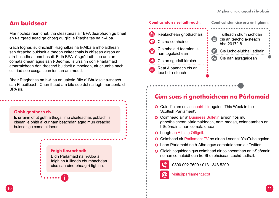## **Am buidseat**

Mar riochdairean dhut, tha dleastanas air BPA dearbhadh gu bheil an t-airgead agad ga chosg gu glic le Riaghaltas na h-Alba.

Gach foghar, suidhichidh Riaghaltas na h-Alba a mholaidhean san dreachd buidseit a thaobh caiteachais is chìsean airson an ath-bhliadhna ionmhasail. Bidh BPA a' sgrùdadh seo ann an comataidhean agus san t-Seòmar. Is urrainn don Phàrlamaid atharraichean don dreachd buidseit a mholadh, air chumha nach cuir iad seo cosgaisean iomlan am meud.

Bheir Riaghaltas na h-Alba an uairsin Bile a' Bhuidseit a-steach san Fhaoilleach. Chan fhaod am bile seo dol na lagh mur aontaich BPA ris.

## Gabh gnothach ris

Is urrainn dhut guth a thogail mu chaiteachas poblach is cìsean le bhith a' cur nam beachdan agad mun dreachd buidseit gu comataidhean.

> Faigh fiosrachadh Bidh Pàrlamaid na h-Alba a' faighinn tuilleadh chumhachdan cìse san ùine bheag ri tighinn.

> > i



## **Cùm suas ri gnothaichean na Pàrlamaid**

**O** Cuir d' ainm ris a' chuairt-litir againn 'This Week in the Scottish Parliament'.

. . . . . . . . . . . . . . . . . .

- **O** Coimhead air a' Business Bulletin airson fios mu ghnothaichean pàrlamaideach, nam measg, coinneamhan an t-Seòmair is nan comataidhean.
- **O** Leugh an Aithisg Oifigeil.

@

- **O** Coimhead air Parliament TV no air an t-seanail YouTube againn.
- **O** Lean Pàrlamaid na h-Alba agus comataidhean air Twitter.
- | Glèidh tiogaidean gus coimhead air coinneamhan an t-Seòmair no nan comataidhean tro Sheirbheisean Luchd-tadhail:



## visit@parliament.scot